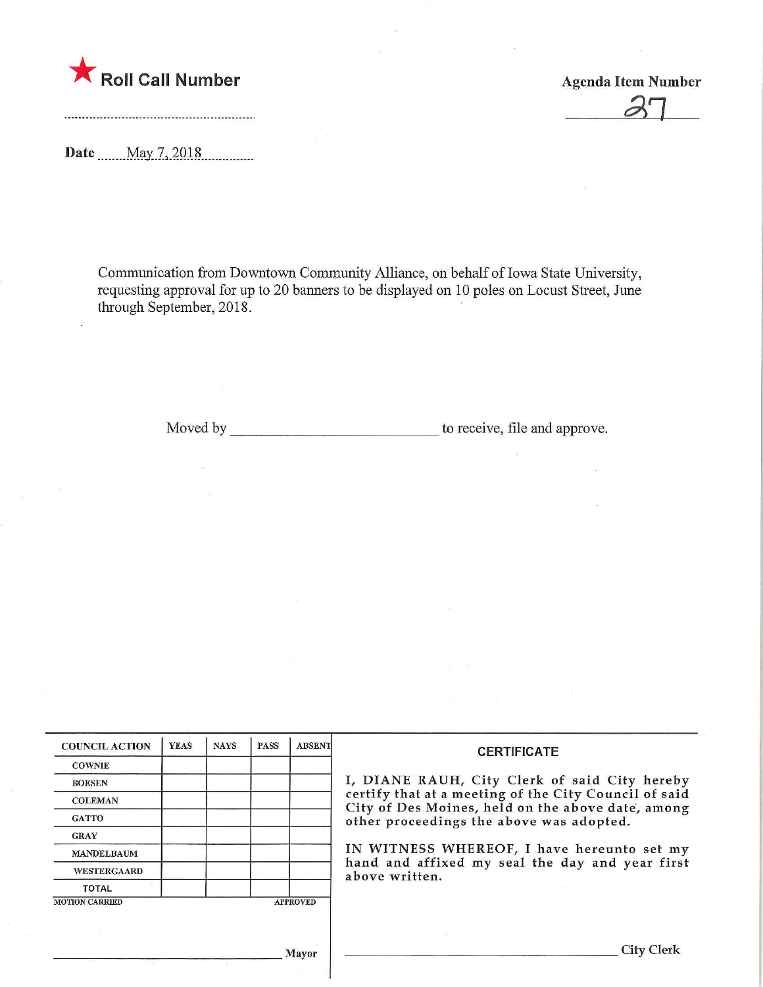

-------------------------------------

Roll Call Number<br>
Agenda Item Number<br>
27

Date ....... May 7, 2018

Communication from Downtown Community Alliance, on behalf of Iowa State University, requesting approval for up to 20 banners to be displayed on 10 poles on Locust Street, June through September, 2018.

Moved by to receive, file and approve.

| <b>COUNCIL ACTION</b>                    | <b>YEAS</b> | <b>NAYS</b> | <b>PASS</b> | <b>ABSENT</b> | <b>CERTIFICATE</b><br>I, DIANE RAUH, City Clerk of said City hereby                                                                                    |  |  |  |
|------------------------------------------|-------------|-------------|-------------|---------------|--------------------------------------------------------------------------------------------------------------------------------------------------------|--|--|--|
| <b>COWNIE</b>                            |             |             |             |               |                                                                                                                                                        |  |  |  |
| <b>BOESEN</b>                            |             |             |             |               |                                                                                                                                                        |  |  |  |
| <b>COLEMAN</b>                           |             |             |             |               | certify that at a meeting of the City Council of said<br>City of Des Moines, held on the above date, among<br>other proceedings the above was adopted. |  |  |  |
| <b>GATTO</b>                             |             |             |             |               |                                                                                                                                                        |  |  |  |
| <b>GRAY</b>                              |             |             |             |               | IN WITNESS WHEREOF, I have hereunto set my                                                                                                             |  |  |  |
| <b>MANDELBAUM</b>                        |             |             |             |               |                                                                                                                                                        |  |  |  |
| <b>WESTERGAARD</b>                       |             |             |             |               | hand and affixed my seal the day and year first<br>above written.                                                                                      |  |  |  |
| <b>TOTAL</b>                             |             |             |             |               |                                                                                                                                                        |  |  |  |
| <b>MOTION CARRIED</b><br><b>APPROVED</b> |             |             |             |               |                                                                                                                                                        |  |  |  |
|                                          |             |             |             |               |                                                                                                                                                        |  |  |  |
|                                          |             |             |             |               |                                                                                                                                                        |  |  |  |

]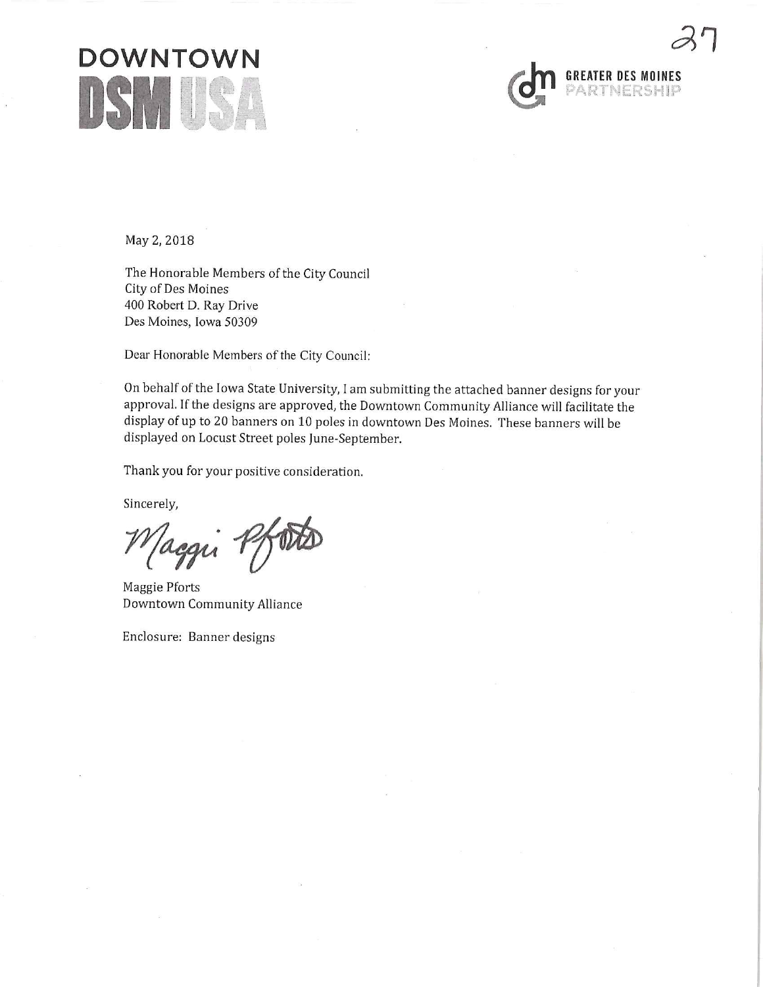



May 2, 2018

The Honorable Members of the City Council City of Des Moines 400 Robert D. Ray Drive Des Moines, Iowa 50309

Dear Honorable Members of the City Council:

On behalf of the Iowa State University, I am submitting the attached banner designs for your approval. If the designs are approved, the Downtown Community Alliance will facilitate the display of up to 20 banners on 10 poles in downtown Des Moines. These banners will be displayed on Locust Street poles June-September.

Thank you for your positive consideration.

Sincerely,

aggu

Maggie Pforts Downtown Community Alliance

Enclosure: Banner designs